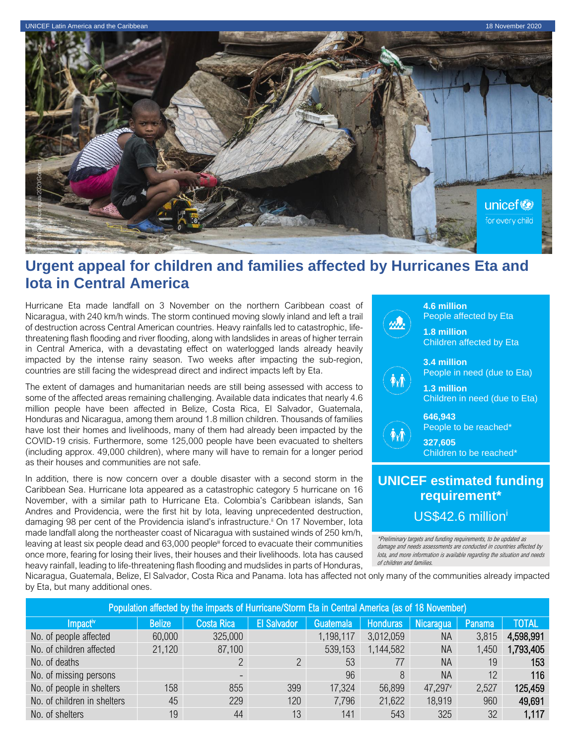

# **Urgent appeal for children and families affected by Hurricanes Eta and Iota in Central America**

Hurricane Eta made landfall on 3 November on the northern Caribbean coast of Nicaragua, with 240 km/h winds. The storm continued moving slowly inland and left a trail of destruction across Central American countries. Heavy rainfalls led to catastrophic, lifethreatening flash flooding and river flooding, along with landslides in areas of higher terrain in Central America, with a devastating effect on waterlogged lands already heavily impacted by the intense rainy season. Two weeks after impacting the sub-region, countries are still facing the widespread direct and indirect impacts left by Eta.

The extent of damages and humanitarian needs are still being assessed with access to some of the affected areas remaining challenging. Available data indicates that nearly 4.6 million people have been affected in Belize, Costa Rica, El Salvador, Guatemala, Honduras and Nicaragua, among them around 1.8 million children. Thousands of families have lost their homes and livelihoods, many of them had already been impacted by the COVID-19 crisis. Furthermore, some 125,000 people have been evacuated to shelters (including approx. 49,000 children), where many will have to remain for a longer period as their houses and communities are not safe.

In addition, there is now concern over a double disaster with a second storm in the Caribbean Sea. Hurricane Iota appeared as a catastrophic category 5 hurricane on 16 November, with a similar path to Hurricane Eta. Colombia's Caribbean islands, San Andres and Providencia, were the first hit by Iota, leaving unprecedented destruction, damaging 98 per cent of the Providencia island's infrastructure.<sup>ii</sup> On 17 November, lota made landfall along the northeaster coast of Nicaragua with sustained winds of 250 km/h, leaving at least six people dead and 63,000 people<sup>ii</sup> forced to evacuate their communities once more, fearing for losing their lives, their houses and their livelihoods. Iota has caused heavy rainfall, leading to life-threatening flash flooding and mudslides in parts of Honduras,



**4.6 million**  People affected by Eta

**1.8 million**  Children affected by Eta

**3.4 million**  People in need (due to Eta)



**646,943** People to be reached\*

**327,605** Children to be reached\*

## **UNICEF estimated funding requirement\*** US\$42.6 million<sup>i</sup>

\*Preliminary targets and funding requirements, to be updated as damage and needs assessments are conducted in countries affected by Iota, and more information is available regarding the situation and needs of children and families.

Nicaragua, Guatemala, Belize, El Salvador, Costa Rica and Panama. Iota has affected not only many of the communities already impacted by Eta, but many additional ones.

| Population affected by the impacts of Hurricane/Storm Eta in Central America (as of 18 November) |               |                          |                    |                  |                 |           |        |              |
|--------------------------------------------------------------------------------------------------|---------------|--------------------------|--------------------|------------------|-----------------|-----------|--------|--------------|
| Impact <sup>iv</sup>                                                                             | <b>Belize</b> | <b>Costa Rica</b>        | <b>El Salvador</b> | <b>Guatemala</b> | <b>Honduras</b> | Nicaragua | Panama | <b>TOTAL</b> |
| No. of people affected                                                                           | 60,000        | 325,000                  |                    | 1,198,117        | 3,012,059       | ΝA        | 3,815  | 4,598,991    |
| No. of children affected                                                                         | 21,120        | 87,100                   |                    | 539,153          | 1,144,582       | <b>NA</b> | 1,450  | 1,793,405    |
| No. of deaths                                                                                    |               | ∩                        |                    | 53               | 77              | <b>NA</b> | 19     | 153          |
| No. of missing persons                                                                           |               | $\overline{\phantom{a}}$ |                    | 96               | 8               | <b>NA</b> | 12     | 116          |
| No. of people in shelters                                                                        | 158           | 855                      | 399                | 17,324           | 56,899          | 47,297    | 2,527  | 125,459      |
| No. of children in shelters                                                                      | 45            | 229                      | 120                | 7,796            | 21,622          | 18,919    | 960    | 49,691       |
| No. of shelters                                                                                  | 19            | 44                       | 13                 | 141              | 543             | 325       | 32     | 1,117        |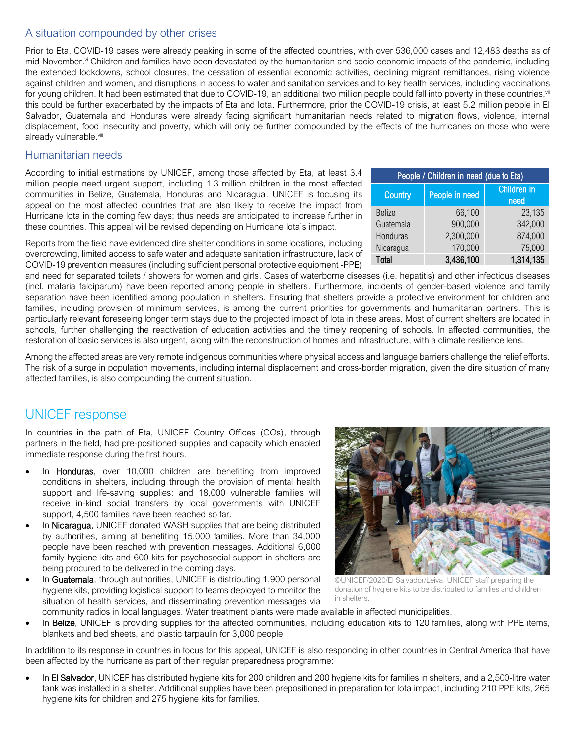### A situation compounded by other crises

Prior to Eta, COVID-19 cases were already peaking in some of the affected countries, with over 536,000 cases and 12,483 deaths as of mid-November.<sup>vi</sup> Children and families have been devastated by the humanitarian and socio-economic impacts of the pandemic, including the extended lockdowns, school closures, the cessation of essential economic activities, declining migrant remittances, rising violence against children and women, and disruptions in access to water and sanitation services and to key health services, including vaccinations for young children. It had been estimated that due to COVID-19, an additional two million people could fall into poverty in these countries,<sup>vii</sup> this could be further exacerbated by the impacts of Eta and Iota. Furthermore, prior the COVID-19 crisis, at least 5.2 million people in El Salvador, Guatemala and Honduras were already facing significant humanitarian needs related to migration flows, violence, internal displacement, food insecurity and poverty, which will only be further compounded by the effects of the hurricanes on those who were already vulnerable.<sup>viii</sup>

#### Humanitarian needs

According to initial estimations by UNICEF, among those affected by Eta, at least 3.4 million people need urgent support, including 1.3 million children in the most affected communities in Belize, Guatemala, Honduras and Nicaragua. UNICEF is focusing its appeal on the most affected countries that are also likely to receive the impact from Hurricane Iota in the coming few days; thus needs are anticipated to increase further in these countries. This appeal will be revised depending on Hurricane Iota's impact.

| People / Children in need (due to Eta) |                |                            |  |  |  |
|----------------------------------------|----------------|----------------------------|--|--|--|
| Country                                | People in need | <b>Children</b> in<br>need |  |  |  |
| <b>Belize</b>                          | 66,100         | 23,135                     |  |  |  |
| Guatemala                              | 900,000        | 342,000                    |  |  |  |
| Honduras                               | 2,300,000      | 874,000                    |  |  |  |
| Nicaragua                              | 170,000        | 75,000                     |  |  |  |
| Total                                  | 3,436,100      | 1,314,135                  |  |  |  |

Reports from the field have evidenced dire shelter conditions in some locations, including overcrowding, limited access to safe water and adequate sanitation infrastructure, lack of COVID-19 prevention measures (including sufficient personal protective equipment -PPE)

and need for separated toilets / showers for women and girls. Cases of waterborne diseases (i.e. hepatitis) and other infectious diseases (incl. malaria falciparum) have been reported among people in shelters. Furthermore, incidents of gender-based violence and family separation have been identified among population in shelters. Ensuring that shelters provide a protective environment for children and families, including provision of minimum services, is among the current priorities for governments and humanitarian partners. This is particularly relevant foreseeing longer term stays due to the projected impact of Iota in these areas. Most of current shelters are located in schools, further challenging the reactivation of education activities and the timely reopening of schools. In affected communities, the restoration of basic services is also urgent, along with the reconstruction of homes and infrastructure, with a climate resilience lens.

Among the affected areas are very remote indigenous communities where physical access and language barriers challenge the relief efforts. The risk of a surge in population movements, including internal displacement and cross-border migration, given the dire situation of many affected families, is also compounding the current situation.

## UNICEF response

In countries in the path of Eta, UNICEF Country Offices (COs), through partners in the field, had pre-positioned supplies and capacity which enabled immediate response during the first hours.

- In **Honduras**, over 10,000 children are benefiting from improved conditions in shelters, including through the provision of mental health support and life-saving supplies; and 18,000 vulnerable families will receive in-kind social transfers by local governments with UNICEF support, 4,500 families have been reached so far.
- In Nicaragua, UNICEF donated WASH supplies that are being distributed by authorities, aiming at benefiting 15,000 families. More than 34,000 people have been reached with prevention messages. Additional 6,000 family hygiene kits and 600 kits for psychosocial support in shelters are being procured to be delivered in the coming days.
- In Guatemala, through authorities, UNICEF is distributing 1,900 personal hygiene kits, providing logistical support to teams deployed to monitor the situation of health services, and disseminating prevention messages via



©UNICEF/2020/El Salvador/Leiva. UNICEF staff preparing the donation of hygiene kits to be distributed to families and children in shelters.

- community radios in local languages. Water treatment plants were made available in affected municipalities.
- In Belize, UNICEF is providing supplies for the affected communities, including education kits to 120 families, along with PPE items, blankets and bed sheets, and plastic tarpaulin for 3,000 people

In addition to its response in countries in focus for this appeal, UNICEF is also responding in other countries in Central America that have been affected by the hurricane as part of their regular preparedness programme:

In El Salvador, UNICEF has distributed hygiene kits for 200 children and 200 hygiene kits for families in shelters, and a 2,500-litre water tank was installed in a shelter. Additional supplies have been prepositioned in preparation for Iota impact, including 210 PPE kits, 265 hygiene kits for children and 275 hygiene kits for families.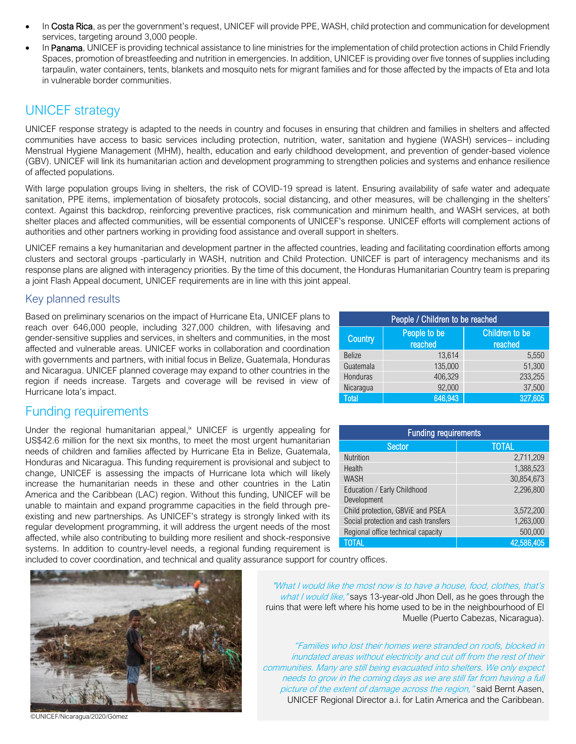- In Costa Rica, as per the government's request, UNICEF will provide PPE, WASH, child protection and communication for development services, targeting around 3,000 people.
- In Panama, UNICEF is providing technical assistance to line ministries for the implementation of child protection actions in Child Friendly Spaces, promotion of breastfeeding and nutrition in emergencies. In addition, UNICEF is providing over five tonnes of supplies including tarpaulin, water containers, tents, blankets and mosquito nets for migrant families and for those affected by the impacts of Eta and Iota in vulnerable border communities.

## UNICEF strategy

UNICEF response strategy is adapted to the needs in country and focuses in ensuring that children and families in shelters and affected communities have access to basic services including protection, nutrition, water, sanitation and hygiene (WASH) services– including Menstrual Hygiene Management (MHM), health, education and early childhood development, and prevention of gender-based violence (GBV). UNICEF will link its humanitarian action and development programming to strengthen policies and systems and enhance resilience of affected populations.

With large population groups living in shelters, the risk of COVID-19 spread is latent. Ensuring availability of safe water and adequate sanitation, PPE items, implementation of biosafety protocols, social distancing, and other measures, will be challenging in the shelters' context. Against this backdrop, reinforcing preventive practices, risk communication and minimum health, and WASH services, at both shelter places and affected communities, will be essential components of UNICEF's response. UNICEF efforts will complement actions of authorities and other partners working in providing food assistance and overall support in shelters.

UNICEF remains a key humanitarian and development partner in the affected countries, leading and facilitating coordination efforts among clusters and sectoral groups -particularly in WASH, nutrition and Child Protection. UNICEF is part of interagency mechanisms and its response plans are aligned with interagency priorities. By the time of this document, the Honduras Humanitarian Country team is preparing a joint Flash Appeal document, UNICEF requirements are in line with this joint appeal.

#### Key planned results

Based on preliminary scenarios on the impact of Hurricane Eta, UNICEF plans to reach over 646,000 people, including 327,000 children, with lifesaving and gender-sensitive supplies and services, in shelters and communities, in the most affected and vulnerable areas. UNICEF works in collaboration and coordination with governments and partners, with initial focus in Belize, Guatemala, Honduras and Nicaragua. UNICEF planned coverage may expand to other countries in the region if needs increase. Targets and coverage will be revised in view of Hurricane Iota's impact.

### Funding requirements

Under the regional humanitarian appeal,<sup>\*</sup> UNICEF is urgently appealing for US\$42.6 million for the next six months, to meet the most urgent humanitarian needs of children and families affected by Hurricane Eta in Belize, Guatemala, Honduras and Nicaragua. This funding requirement is provisional and subject to change, UNICEF is assessing the impacts of Hurricane Iota which will likely increase the humanitarian needs in these and other countries in the Latin America and the Caribbean (LAC) region. Without this funding, UNICEF will be unable to maintain and expand programme capacities in the field through preexisting and new partnerships. As UNICEF's strategy is strongly linked with its regular development programming, it will address the urgent needs of the most affected, while also contributing to building more resilient and shock-responsive systems. In addition to country-level needs, a regional funding requirement is

| People / Children to be reached |                         |                                  |  |  |  |
|---------------------------------|-------------------------|----------------------------------|--|--|--|
| Country                         | People to be<br>reached | <b>Children</b> to be<br>reached |  |  |  |
| <b>Belize</b>                   | 13.614                  | 5.550                            |  |  |  |
| Guatemala                       | 135,000                 | 51,300                           |  |  |  |
| Honduras                        | 406,329                 | 233,255                          |  |  |  |
| Nicaragua                       | 92,000                  | 37,500                           |  |  |  |
| <b>Total</b>                    | 646,943                 | 327,605                          |  |  |  |

| <b>Funding requirements</b>                |              |  |  |  |  |
|--------------------------------------------|--------------|--|--|--|--|
| Sector                                     | <b>TOTAL</b> |  |  |  |  |
| <b>Nutrition</b>                           | 2,711,209    |  |  |  |  |
| Health                                     | 1,388,523    |  |  |  |  |
| <b>WASH</b>                                | 30,854,673   |  |  |  |  |
| Education / Early Childhood<br>Development | 2.296.800    |  |  |  |  |
| Child protection, GBViE and PSEA           | 3,572,200    |  |  |  |  |
| Social protection and cash transfers       | 1,263,000    |  |  |  |  |
| Regional office technical capacity         | 500,000      |  |  |  |  |
| <b>TOTAL</b>                               | 42,586,405   |  |  |  |  |

included to cover coordination, and technical and quality assurance support for country offices.



©UNICEF/Nicaragua/2020/Gómez

"What I would like the most now is to have a house, food, clothes, that's what I would like, "says 13-year-old Jhon Dell, as he goes through the ruins that were left where his home used to be in the neighbourhood of El Muelle (Puerto Cabezas, Nicaragua).

"Families who lost their homes were stranded on roofs, blocked in inundated areas without electricity and cut off from the rest of their communities. Many are still being evacuated into shelters. We only expect needs to grow in the coming days as we are still far from having a full picture of the extent of damage across the region," said Bernt Aasen, UNICEF Regional Director a.i. for Latin America and the Caribbean.